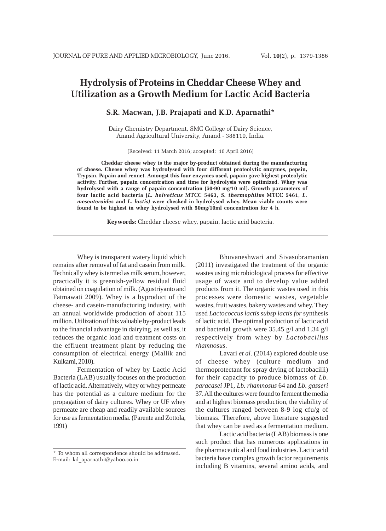# **Hydrolysis of Proteins in Cheddar Cheese Whey and Utilization as a Growth Medium for Lactic Acid Bacteria**

**S.R. Macwan, J.B. Prajapati and K.D. Aparnathi\***

Dairy Chemistry Department, SMC College of Dairy Science, Anand Agricultural University, Anand - 388110, India.

(Received: 11 March 2016; accepted: 10 April 2016)

**Cheddar cheese whey is the major by-product obtained during the manufacturing of cheese. Cheese whey was hydrolysed with four different proteolytic enzymes, pepsin, Trypsin, Papain and rennet. Amongst this four enzymes used, papain gave highest proteolytic activity. Further, papain concentration and time for hydrolysis were optimized. Whey was hydrolysed with a range of papain concentration (50-90 mg/10 ml). Growth parameters of four lactic acid bacteria (***L. helveticus* **MTCC 5463,** *S. thermophilus* **MTCC 5461,** *L. mesenteroides* **and** *L. lactis)* **were checked in hydrolysed whey. Mean viable counts were found to be highest in whey hydrolysed with 50mg/10ml concentration for 4 h.**

**Keywords:** Cheddar cheese whey, papain, lactic acid bacteria.

Whey is transparent watery liquid which remains after removal of fat and casein from milk. Technically whey is termed as milk serum, however, practically it is greenish-yellow residual fluid obtained on coagulation of milk. (Agustriyanto and Fatmawati 2009). Whey is a byproduct of the cheese- and casein-manufacturing industry*,* with an annual worldwide production of about 115 million. Utilization of this valuable by-product leads to the financial advantage in dairying, as well as, it reduces the organic load and treatment costs on the effluent treatment plant by reducing the consumption of electrical energy (Mallik and Kulkarni, 2010).

Fermentation of whey by Lactic Acid Bacteria (LAB) usually focuses on the production of lactic acid. Alternatively, whey or whey permeate has the potential as a culture medium for the propagation of dairy cultures. Whey or UF whey permeate are cheap and readily available sources for use as fermentation media. (Parente and Zottola, 1991)

Bhuvaneshwari and Sivasubramanian (2011) investigated the treatment of the organic wastes using microbiological process for effective usage of waste and to develop value added products from it. The organic wastes used in this processes were domestic wastes, vegetable wastes, fruit wastes, bakery wastes and whey. They used *Lactococcus lactis subsp lactis for* synthesis of lactic acid. The optimal production of lactic acid and bacterial growth were  $35.45$  g/l and  $1.34$  g/l respectively from whey by *Lactobacillus rhamnosus*.

Lavari *et al.* (2014) explored double use of cheese whey (culture medium and thermoprotectant for spray drying of lactobacilli) for their capacity to produce biomass of *Lb. paracasei* JP1, *Lb. rhamnosus* 64 and *Lb. gasseri* 37. All the cultures were found to ferment the media and at highest biomass production, the viability of the cultures ranged between 8-9 log cfu/g of biomass. Therefore, above literature suggested that whey can be used as a fermentation medium.

Lactic acid bacteria (LAB) biomass is one such product that has numerous applications in the pharmaceutical and food industries. Lactic acid bacteria have complex growth factor requirements including B vitamins, several amino acids, and

<sup>\*</sup> To whom all correspondence should be addressed. E-mail: kd\_aparnathi@yahoo.co.in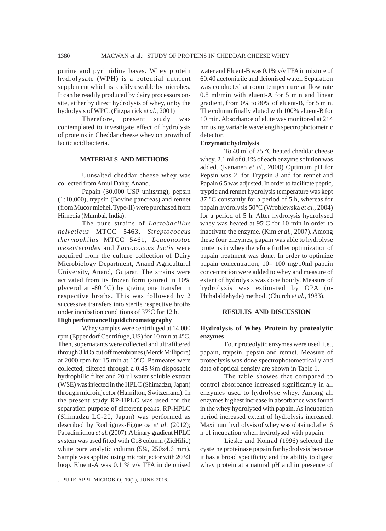purine and pyrimidine bases. Whey protein hydrolysate (WPH) is a potential nutrient supplement which is readily useable by microbes. It can be readily produced by dairy processors onsite, either by direct hydrolysis of whey, or by the hydrolysis of WPC. (Fitzpatrick *et al*., 2001)

Therefore, present study was contemplated to investigate effect of hydrolysis of proteins in Cheddar cheese whey on growth of lactic acid bacteria.

#### **MATERIALS AND METHODS**

Uunsalted cheddar cheese whey was collected from Amul Dairy, Anand.

Papain (30,000 USP units/mg), pepsin (1:10,000), trypsin (Bovine pancreas) and rennet (from Mucor miehei, Type-II) were purchased from Himedia (Mumbai, India).

The pure strains of *Lactobacillus helveticus* MTCC 5463, *Streptococcus thermophilus* MTCC 5461, *Leuconostoc mesenteroides* and *Lactococcus lactis* were acquired from the culture collection of Dairy Microbiology Department, Anand Agricultural University, Anand, Gujarat. The strains were activated from its frozen form (stored in 10% glycerol at -80 °C) by giving one transfer in respective broths. This was followed by 2 successive transfers into sterile respective broths under incubation conditions of 37ºC for 12 h.

#### **High performance liquid chromatography**

Whey samples were centrifuged at 14,000 rpm (Eppendorf Centrifuge, US) for 10 min at 4°C. Then, supernatants were collected and ultrafiltered through 3 kDa cut off membranes (Merck Millipore) at 2000 rpm for 15 min at 10°C. Permeates were collected, filtered through a 0.45 ¼m disposable hydrophilic filter and 20 µl water soluble extract (WSE) was injected in the HPLC (Shimadzu, Japan) through microinjector (Hamilton, Switzerland). In the present study RP-HPLC was used for the separation purpose of different peaks. RP-HPLC (Shimadzu LC-20, Japan) was performed as described by Rodríguez-Figueroa *et al*. (2012); Papadimitriou *et al.* (2007). A binary gradient HPLC system was used fitted with C18 column (ZicHilic) white pore analytic column (5¼, 250x4.6 mm). Sample was applied using microinjector with 20 ¼l loop. Eluent-A was 0.1 % v/v TFA in deionised

J PURE APPL MICROBIO*,* **10**(2), JUNE 2016.

water and Eluent-B was 0.1% v/v TFA in mixture of 60:40 acetonitrile and deionised water. Separation was conducted at room temperature at flow rate 0.8 ml/min with eluent-A for 5 min and linear gradient, from 0% to 80% of eluent-B, for 5 min. The column finally eluted with 100% eluent-B for 10 min. Absorbance of elute was monitored at 214 nm using variable wavelength spectrophotometric detector.

#### **Enzymatic hydrolysis**

To 40 ml of 75 °C heated cheddar cheese whey, 2.1 ml of 0.1% of each enzyme solution was added. (Kananen *et al.,* 2000) Optimum pH for Pepsin was 2, for Trypsin 8 and for rennet and Papain 6.5 was adjusted. In order to facilitate peptic, tryptic and rennet hydrolysis temperature was kept 37 °C constantly for a period of 5 h, whereas for papain hydrolysis 50°C (Wroblewska *et al.,* 2004) for a period of 5 h. After hydrolysis hydrolysed whey was heated at 95ºC for 10 min in order to inactivate the enzyme. (Kim *et al.,* 2007). Among these four enzymes, papain was able to hydrolyse proteins in whey therefore further optimization of papain treatment was done. In order to optimize papain concentration, 10– 100 mg/10ml papain concentration were added to whey and measure of extent of hydrolysis was done hourly. Measure of hydrolysis was estimated by OPA (o-Phthalaldehyde) method. (Church *et al.,* 1983).

#### **RESULTS AND DISCUSSION**

## **Hydrolysis of Whey Protein by proteolytic enzymes**

Four proteolytic enzymes were used. i.e., papain, trypsin, pepsin and rennet. Measure of proteolysis was done spectrophotometrically and data of optical density are shown in Table 1.

The table showes that compared to control absorbance increased significantly in all enzymes used to hydrolyse whey. Among all enzymes highest increase in absorbance was found in the whey hydrolysed with papain. As incubation period increased extent of hydrolysis increased. Maximum hydrolysis of whey was obtained after 6 h of incubation when hydrolysed with papain.

Lieske and Konrad (1996) selected the cysteine proteinase papain for hydrolysis because it has a broad specificity and the ability to digest whey protein at a natural pH and in presence of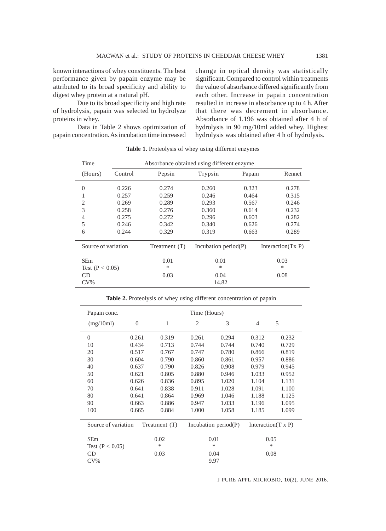known interactions of whey constituents. The best performance given by papain enzyme may be attributed to its broad specificity and ability to digest whey protein at a natural pH.

Due to its broad specificity and high rate of hydrolysis, papain was selected to hydrolyze proteins in whey.

Data in Table 2 shows optimization of papain concentration. As incubation time increased change in optical density was statistically significant. Compared to control within treatments the value of absorbance differed significantly from each other. Increase in papain concentration resulted in increase in absorbance up to 4 h. After that there was decrement in absorbance. Absorbance of 1.196 was obtained after 4 h of hydrolysis in 90 mg/10ml added whey. Highest hydrolysis was obtained after 4 h of hydrolysis.

| Time                |         | Absorbance obtained using different enzyme. |                         |        |                      |
|---------------------|---------|---------------------------------------------|-------------------------|--------|----------------------|
| (Hours)             | Control | Pepsin                                      | Trypsin                 | Papain | Rennet               |
| $\theta$            | 0.226   | 0.274                                       | 0.260                   | 0.323  | 0.278                |
| 1                   | 0.257   | 0.259                                       | 0.246                   | 0.464  | 0.315                |
| 2                   | 0.269   | 0.289                                       | 0.293                   | 0.567  | 0.246                |
| 3                   | 0.258   | 0.276                                       | 0.360                   | 0.614  | 0.232                |
| $\overline{4}$      | 0.275   | 0.272                                       | 0.296                   | 0.603  | 0.282                |
| 5                   | 0.246   | 0.342                                       | 0.340                   | 0.626  | 0.274                |
| 6                   | 0.244   | 0.329                                       | 0.319                   | 0.663  | 0.289                |
| Source of variation |         | Treatment (T)                               | Incubation period $(P)$ |        | Interaction $(TX P)$ |
| <b>SEm</b>          |         | 0.01                                        | 0.01                    |        | 0.03                 |
| Test $(P < 0.05)$   |         | $\ast$                                      | *                       |        | $\ast$               |
| CD                  |         | 0.03                                        | 0.04                    |        | 0.08                 |
| $CV\%$              |         |                                             | 14.82                   |        |                      |

Table 1. Proteolysis of whey using different enzymes

|  |  |  |  |  |  |  | Table 2. Proteolysis of whey using different concentration of papain |  |  |
|--|--|--|--|--|--|--|----------------------------------------------------------------------|--|--|
|--|--|--|--|--|--|--|----------------------------------------------------------------------|--|--|

| Papain conc.        |                |               | Time (Hours)   |                         |                            |       |
|---------------------|----------------|---------------|----------------|-------------------------|----------------------------|-------|
| (mg/10ml)           | $\overline{0}$ | 1             | $\overline{2}$ | 3                       | $\overline{4}$             | 5     |
| $\Omega$            | 0.261          | 0.319         | 0.261          | 0.294                   | 0.312                      | 0.232 |
| 10                  | 0.434          | 0.713         | 0.744          | 0.744                   | 0.740                      | 0.729 |
| 20                  | 0.517          | 0.767         | 0.747          | 0.780                   | 0.866                      | 0.819 |
| 30                  | 0.604          | 0.790         | 0.860          | 0.861                   | 0.957                      | 0.886 |
| 40                  | 0.637          | 0.790         | 0.826          | 0.908                   | 0.979                      | 0.945 |
| 50                  | 0.621          | 0.805         | 0.880          | 0.946                   | 1.033                      | 0.952 |
| 60                  | 0.626          | 0.836         | 0.895          | 1.020                   | 1.104                      | 1.131 |
| 70                  | 0.641          | 0.838         | 0.911          | 1.028                   | 1.091                      | 1.100 |
| 80                  | 0.641          | 0.864         | 0.969          | 1.046                   | 1.188                      | 1.125 |
| 90                  | 0.663          | 0.886         | 0.947          | 1.033                   | 1.196                      | 1.095 |
| 100                 | 0.665          | 0.884         | 1.000          | 1.058                   | 1.185                      | 1.099 |
| Source of variation |                | Treatment (T) |                | Incubation period $(P)$ | Interaction $(T \times P)$ |       |
| <b>SEm</b>          |                | 0.02          |                | 0.01                    | 0.05                       |       |
| Test ( $P < 0.05$ ) |                | ∗             |                | *                       | *                          |       |
| <b>CD</b>           |                | 0.03          |                | 0.04                    | 0.08                       |       |
| $CV\%$              |                |               |                | 9.97                    |                            |       |

J PURE APPL MICROBIO*,* **10**(2), JUNE 2016.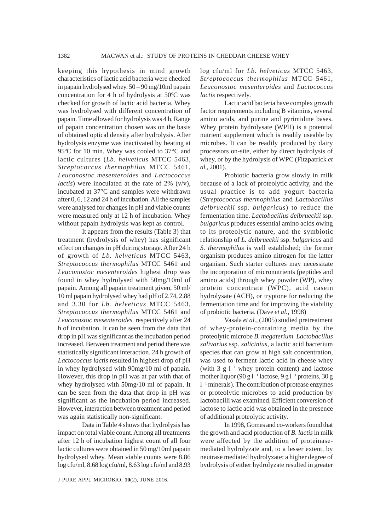keeping this hypothesis in mind growth characteristics of lactic acid bacteria were checked in papain hydrolysed whey. 50 – 90 mg/10ml papain concentration for 4 h of hydrolysis at 50ºC was checked for growth of lactic acid bacteria. Whey was hydrolysed with different concentration of papain. Time allowed for hydrolysis was 4 h. Range of papain concentration chosen was on the basis of obtained optical density after hydrolysis. After hydrolysis enzyme was inactivated by heating at 95ºC for 10 min. Whey was cooled to 37°C and lactic cultures (*Lb. helveticus* MTCC 5463, *Streptococcus thermophilus* MTCC 5461, *Leuconostoc mesenteroides* and *Lactococcus lactis*) were inoculated at the rate of 2% (v/v), incubated at 37°C and samples were withdrawn after 0, 6, 12 and 24 h of incubation. All the samples were analysed for changes in pH and viable counts were measured only at 12 h of incubation. Whey without papain hydrolysis was kept as control.

It appears from the results (Table 3) that treatment (hydrolysis of whey) has significant effect on changes in pH during storage. After 24 h of growth of *Lb. helveticus* MTCC 5463, *Streptococcus thermophilus* MTCC 5461 and *Leuconostoc mesenteroides* highest drop was found in whey hydrolysed with 50mg/10ml of papain. Among all papain treatment given, 50 ml/ 10 ml papain hydrolysed whey had pH of 2.74, 2.88 and 3.30 for *Lb. helveticus* MTCC 5463, *Streptococcus thermophilus* MTCC 5461 and *Leuconostoc mesenteroides* respectively after 24 h of incubation. It can be seen from the data that drop in pH was significant as the incubation period increased. Between treatment and period there was statistically significant interaction. 24 h growth of *Lactococcus lactis* resulted in highest drop of pH in whey hydrolysed with 90mg/10 ml of papain. However, this drop in pH was at par with that of whey hydrolysed with 50mg/10 ml of papain. It can be seen from the data that drop in pH was significant as the incubation period increased. However, interaction between treatment and period was again statistically non-significant.

Data in Table 4 shows that hydrolysis has impact on total viable count. Among all treatments after 12 h of incubation highest count of all four lactic cultures were obtained in 50 mg/10ml papain hydrolysed whey. Mean viable counts were 8.86 log cfu/ml, 8.68 log cfu/ml, 8.63 log cfu/ml and 8.93

J PURE APPL MICROBIO*,* **10**(2), JUNE 2016.

log cfu/ml for *Lb. helveticus* MTCC 5463, *Streptococcus thermophilus* MTCC 5461, *Leuconostoc mesenteroides* and *Lactococcus lactis* respectively.

Lactic acid bacteria have complex growth factor requirements including B vitamins, several amino acids, and purine and pyrimidine bases. Whey protein hydrolysate (WPH) is a potential nutrient supplement which is readily useable by microbes. It can be readily produced by dairy processors on-site, either by direct hydrolysis of whey, or by the hydrolysis of WPC (Fitzpatrick *et al*., 2001).

Probiotic bacteria grow slowly in milk because of a lack of proteolytic activity, and the usual practice is to add yogurt bacteria (*Streptococcus thermophilus* and *Lactobacillus delbrueckii* ssp. *bulgaricus*) to reduce the fermentation time. *Lactobacillus delbrueckii* ssp. *bulgaricus* produces essential amino acids owing to its proteolytic nature, and the symbiotic relationship of *L. delbrueckii* ssp. *bulgaricus* and *S. thermophilus* is well established; the former organism produces amino nitrogen for the latter organism. Such starter cultures may necessitate the incorporation of micronutrients (peptides and amino acids) through whey powder (WP), whey protein concentrate (WPC), acid casein hydrolysate (ACH), or tryptone for reducing the fermentation time and for improving the viability of probiotic bacteria. (Dave *et al.,* 1998)

Vasala *et al.,* (2005) studied pretreatment of whey-protein-containing media by the proteolytic microbe *B. megaterium. Lactobacillus salivarius* ssp. *salicinius*, a lactic acid bacterium species that can grow at high salt concentration, was used to ferment lactic acid in cheese whey (with 3 g  $1<sup>-1</sup>$  whey protein content) and lactose mother liquor (90 g l  $1$  lactose, 9 g l  $1$  proteins, 30 g 1<sup>1</sup> minerals). The contribution of protease enzymes or proteolytic microbes to acid production by lactobacilli was examined. Efficient conversion of lactose to lactic acid was obtained in the presence of additional proteolytic activity.

In 1998, Gomes and co-workers found that the growth and acid production of *B. lactis* in milk were affected by the addition of proteinasemediated hydrolyzate and, to a lesser extent, by neutrase mediated hydrolyzate; a higher degree of hydrolysis of either hydrolyzate resulted in greater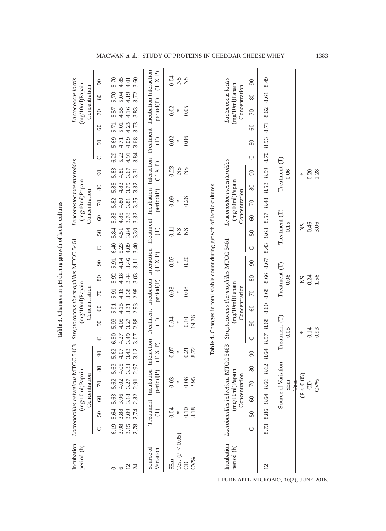| Incubation<br>period (h) |      | Lactobacillus helveticus MT |          | (mg/10ml)Papain<br>Concentration |              | CC 5463  |                       |           | Concentration | (mg/10ml)Papain |                       | Streptococcus thermophilus MTCC 5461                                    |        |                       | Concentration | (mg/10ml)Papain |      | Leuconostoc mesenteroides                                                                                      |              |           |         | Lactococcus lactis<br>(mg/10ml)Papain<br>Concentration   |    |                |
|--------------------------|------|-----------------------------|----------|----------------------------------|--------------|----------|-----------------------|-----------|---------------|-----------------|-----------------------|-------------------------------------------------------------------------|--------|-----------------------|---------------|-----------------|------|----------------------------------------------------------------------------------------------------------------|--------------|-----------|---------|----------------------------------------------------------|----|----------------|
|                          | ◡    | 50                          | $\infty$ | $\sqrt{2}$                       | 80           | $\infty$ | $\cup$                | $50\,$    | $\odot$       | $\sqrt{2}$      | 80                    | $\infty$                                                                | $\cup$ | $50\,$                | $\infty$      | $\sqrt{2}$      | 80   | $\infty$                                                                                                       | $\cup$       | $50\,$    | 60      | $\sqrt{2}$                                               | 80 | $\infty$       |
|                          |      |                             |          |                                  |              |          |                       |           |               |                 |                       |                                                                         |        |                       |               |                 |      |                                                                                                                |              |           |         |                                                          |    |                |
|                          | 6.19 | 5.64                        | 5.63     | 5.62                             |              | 5.62     | 6.50                  | 5.93      | 5.91          | 5.91            | 5.92                  | 5.91                                                                    | 6.40   | 5.84                  | 5.83          | 5.82            | 5.85 | 5.83                                                                                                           | 6.29         | 5.69      | 5.71    | 5.70<br>5.57                                             |    | 5.70           |
| $\circ$                  | 3.98 | 3.88                        | 3.96     | 4.02                             | 5.63<br>4.05 | 4.07     | 4.27                  | 4.05      | 4.15          | 4.16            | 4.18                  | 4.14                                                                    | 5.23   | 4.51                  | 4.85          | 4.80            | 4.83 | 4.81                                                                                                           | 4.71<br>5.23 |           | 5.01    | 5.04<br>4.55                                             |    | 4.85           |
| $12\,$                   | 3.15 | 3.09                        | 3.18     | 3.27                             | 3.33         | 3.43     | 3.49                  | 3.27      | 3.31          | 3.38            | 3.44                  | 3.46                                                                    | 4.09   | 3.84                  | 3.78          | 3.81            | 3.79 | 3.67                                                                                                           | 4.91         | 4.09      | 4.23    | 4.19<br>4.16                                             |    | 4.01           |
| $\overline{z}$           | 2.78 | 2.74                        | 2.82     | 2.91                             | 2.97         | 3.12     | 3.07                  | 2.88      | 2.93          | 2.98            | 3.03                  | 3.11                                                                    | 3.40   | 3.30                  | 3.32          | 3.35            | 3.32 | 3.31                                                                                                           | 3.84         | 3.68      | 3.73    | 3.72<br>3.83                                             |    | 3.60           |
| Source of                |      | Treatment Incubation        |          |                                  |              |          |                       |           |               |                 |                       |                                                                         |        |                       |               |                 |      | Interaction Treatment Incubation Interaction Treatment Incubation Interaction Treatment Incubation Interaction |              |           |         |                                                          |    |                |
| Variation                |      | E                           |          | period(P)                        |              | (T X P)  |                       | $\ominus$ |               | period(P)       |                       | (T X P)                                                                 |        | $\ominus$             |               | period(P)       |      | (T X P)                                                                                                        |              | $\ominus$ |         | period(P)                                                |    | (T X P)        |
| SEm                      |      | 0.04                        |          | 0.03                             |              | 0.07     |                       | 0.04      |               | 0.03            |                       | 0.07                                                                    |        | 0.11                  |               | 0.09            |      | 0.23                                                                                                           |              | 0.02      |         | 0.02                                                     |    | 0.04           |
| Test ( $P < 0.05$ )      |      |                             |          | X                                |              | X        |                       | $\ast$    |               | $\ast$          |                       | $\ast$                                                                  |        | SN                    |               | $\ast$          |      | <b>NS</b>                                                                                                      |              | $\ast$    |         | $\ast$                                                   |    | $^{2}S$        |
| $\Theta$                 |      | 0.10                        |          | 0.08                             |              | 0.21     |                       | 0.10      |               | 0.08            |                       | 0.20                                                                    |        | SN                    |               | 0.26            |      | <b>NS</b>                                                                                                      |              | 0.06      |         | 0.05                                                     |    | S <sub>N</sub> |
| CV%                      |      | 3.18                        |          | 2.95                             |              | 8.72     |                       | 19.76     |               |                 |                       |                                                                         |        |                       |               |                 |      |                                                                                                                |              |           |         |                                                          |    |                |
|                          |      |                             |          |                                  |              |          |                       |           |               |                 |                       | Table 4. Changes in total viable count during growth of lactic cultures |        |                       |               |                 |      |                                                                                                                |              |           |         |                                                          |    |                |
|                          |      |                             |          |                                  |              |          |                       |           |               |                 |                       |                                                                         |        |                       |               |                 |      |                                                                                                                |              |           |         |                                                          |    |                |
| Incubation<br>period (h) |      | Lactobacillus helveticus MT |          | (mg/10ml)Papain<br>Concentration |              | CC 5463  |                       |           | Concentration | (mg/10ml)Papain |                       | Streptococcus thermophilus MTCC 5461                                    |        |                       | Concentration | (mg/10ml)Papain |      | Leuconostoc mesenteroides                                                                                      |              |           |         | Lactococcus lactis<br>$(mg/10m)$ Papain<br>Concentration |    |                |
|                          | ◡    | $50\,$                      | $\odot$  | $\sqrt{2}$                       | 80           | 90       | $\cup$                | $50\,$    | $\odot$       | $\sqrt{2}$      | 80                    | 90                                                                      | O      | 50                    | $\degree$     | $\sqrt{2}$      | 80   | 90                                                                                                             | $\cup$       | 50        | $\odot$ | $\sqrt{2}$                                               | 80 | $\infty$       |
| 12                       | 8.73 | 8.86                        | 8.64     | 8.66                             | 8.62         | 8.64     | 8.57                  | 8.68      | 8.60          | 8.68            | 8.66                  | 8.67                                                                    | 8.43   | 8.63                  | 8.57          | 8.48            | 8.53 | 8.59                                                                                                           | 8.70         | 8.93      | 8.71    | 8.61<br>8.62                                             |    | 8.49           |
|                          |      |                             |          | Source of Variation<br>SEm       |              |          | Treatment (T)<br>0.05 |           |               |                 | Treatment (T)<br>0.08 |                                                                         |        | Treatment (T)<br>0.15 |               |                 |      | Treatment (T)<br>0.06                                                                                          |              |           |         |                                                          |    |                |
|                          |      |                             |          | <b>Test</b>                      |              |          |                       |           |               |                 |                       |                                                                         |        |                       |               |                 |      |                                                                                                                |              |           |         |                                                          |    |                |
|                          |      |                             |          | (P < 0.05)                       |              |          | ¥.                    |           |               |                 | SN                    |                                                                         |        | SN                    |               |                 |      | ₩                                                                                                              |              |           |         |                                                          |    |                |
|                          |      |                             |          | S                                |              |          | 0.14                  |           |               |                 | 0.24                  |                                                                         |        | 0.46<br>3.06          |               |                 |      | 0.20                                                                                                           |              |           |         |                                                          |    |                |
|                          |      |                             |          | CV%                              |              |          | 0.93                  |           |               |                 | 1.58                  |                                                                         |        |                       |               |                 |      | 1.28                                                                                                           |              |           |         |                                                          |    |                |

Table 3. Changes in pH during growth of lactic cultures **Table 3.** Changes in pH during growth of lactic cultures

J PURE APPL MICROBIO*,* **10**(2), JUNE 2016.

## MACWAN et al.: STUDY OF PROTEINS IN CHEDDAR CHEESE WHEY 1383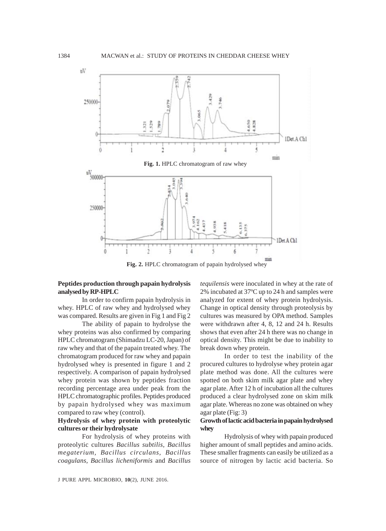

**Fig. 2.** HPLC chromatogram of papain hydrolysed whey

# **Peptides production through papain hydrolysis analysed by RP-HPLC**

In order to confirm papain hydrolysis in whey. HPLC of raw whey and hydrolysed whey was compared. Results are given in Fig 1 and Fig 2

The ability of papain to hydrolyse the whey proteins was also confirmed by comparing HPLC chromatogram (Shimadzu LC-20, Japan) of raw whey and that of the papain treated whey. The chromatogram produced for raw whey and papain hydrolysed whey is presented in figure 1 and 2 respectively. A comparison of papain hydrolysed whey protein was shown by peptides fraction recording percentage area under peak from the HPLC chromatographic profiles. Peptides produced by papain hydrolysed whey was maximum compared to raw whey (control).

## **Hydrolysis of whey protein with proteolytic cultures or their hydrolysate**

For hydrolysis of whey proteins with proteolytic cultures *Bacillus subtilis, Bacillus megaterium, Bacillus circulans, Bacillus coagulans, Bacillus licheniformis* and *Bacillus*

*tequilensis* were inoculated in whey at the rate of 2% incubated at 37ºC up to 24 h and samples were analyzed for extent of whey protein hydrolysis. Change in optical density through proteolysis by cultures was measured by OPA method. Samples were withdrawn after 4, 8, 12 and 24 h. Results shows that even after 24 h there was no change in optical density. This might be due to inability to break down whey protein.

In order to test the inability of the procured cultures to hydrolyse whey protein agar plate method was done. All the cultures were spotted on both skim milk agar plate and whey agar plate. After 12 h of incubation all the cultures produced a clear hydrolysed zone on skim milk agar plate. Whereas no zone was obtained on whey agar plate (Fig: 3)

## **Growth of lactic acid bacteria in papain hydrolysed whey**

Hydrolysis of whey with papain produced higher amount of small peptides and amino acids. These smaller fragments can easily be utilized as a source of nitrogen by lactic acid bacteria. So

J PURE APPL MICROBIO*,* **10**(2), JUNE 2016.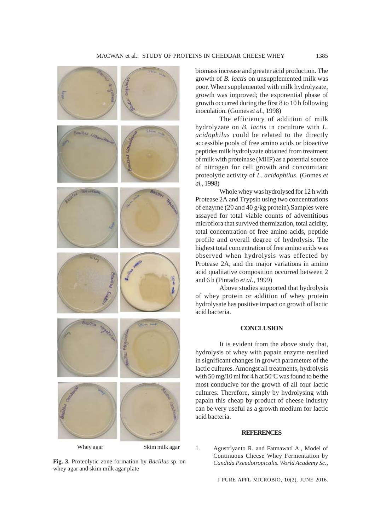

**Fig. 3.** Proteolytic zone formation by *Bacillus* sp. on whey agar and skim milk agar plate

biomass increase and greater acid production. The growth of *B. lactis* on unsupplemented milk was poor. When supplemented with milk hydrolyzate, growth was improved; the exponential phase of growth occurred during the first 8 to 10 h following inoculation. (Gomes *et al.,* 1998)

The efficiency of addition of milk hydrolyzate on *B. lactis* in coculture with *L. acidophilus* could be related to the directly accessible pools of free amino acids or bioactive peptides milk hydrolyzate obtained from treatment of milk with proteinase (MHP) as a potential source of nitrogen for cell growth and concomitant proteolytic activity of *L. acidophilus*. (Gomes *et al.,* 1998)

Whole whey was hydrolysed for 12 h with Protease 2A and Trypsin using two concentrations of enzyme (20 and 40 g/kg protein).Samples were assayed for total viable counts of adventitious microflora that survived thermization, total acidity, total concentration of free amino acids, peptide profile and overall degree of hydrolysis. The highest total concentration of free amino acids was observed when hydrolysis was effected by Protease 2A, and the major variations in amino acid qualitative composition occurred between 2 and 6 h (Pintado *et al.,* 1999)

Above studies supported that hydrolysis of whey protein or addition of whey protein hydrolysate has positive impact on growth of lactic acid bacteria.

#### **CONCLUSION**

It is evident from the above study that, hydrolysis of whey with papain enzyme resulted in significant changes in growth parameters of the lactic cultures. Amongst all treatments, hydrolysis with 50 mg/10 ml for 4 h at 50ºC was found to be the most conducive for the growth of all four lactic cultures. Therefore, simply by hydrolysing with papain this cheap by-product of cheese industry can be very useful as a growth medium for lactic acid bacteria.

#### **REFERENCES**

1. Agustriyanto R. and Fatmawati A., Model of Continuous Cheese Whey Fermentation by *Candida Pseudotropicalis*. *World Academy Sc.,*

J PURE APPL MICROBIO*,* **10**(2), JUNE 2016.